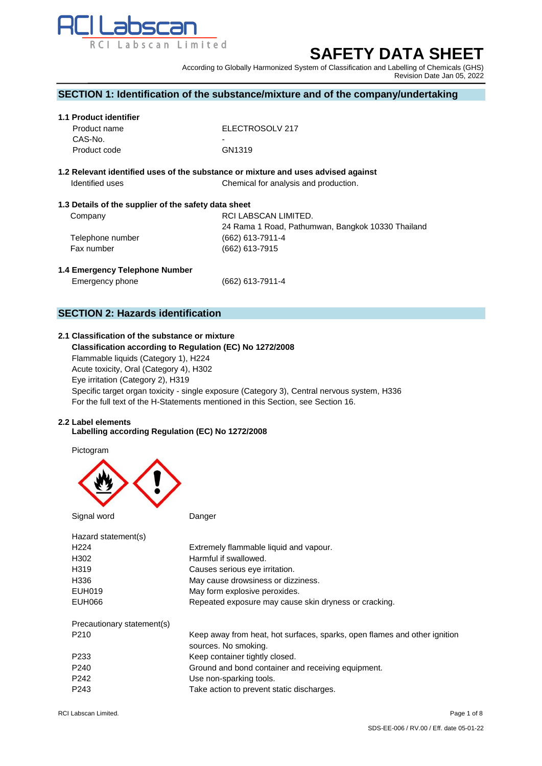

# **SAFETY DATA SHEET**

According to Globally Harmonized System of Classification and Labelling of Chemicals (GHS) Revision Date Jan 05, 2022

# **SECTION 1: Identification of the substance/mixture and of the company/undertaking**

#### **1.1 Product identifier**

| Product name | ELECTROSOLV 217    |
|--------------|--------------------|
| CAS-No.      | ۰                  |
| Product code | GN <sub>1319</sub> |

# **1.2 Relevant identified uses of the substance or mixture and uses advised against Identified uses** Chemical for analysis and production.

# **1.3 Details of the supplier of the safety data sheet**

| Company          | RCI LABSCAN LIMITED.                              |
|------------------|---------------------------------------------------|
|                  | 24 Rama 1 Road, Pathumwan, Bangkok 10330 Thailand |
| Telephone number | (662) 613-7911-4                                  |
| Fax number       | (662) 613-7915                                    |
|                  |                                                   |

# **1.4 Emergency Telephone Number**

Emergency phone (662) 613-7911-4

# **SECTION 2: Hazards identification**

# **2.1 Classification of the substance or mixture**

 **Classification according to Regulation (EC) No 1272/2008** Flammable liquids (Category 1), H224 Acute toxicity, Oral (Category 4), H302 Eye irritation (Category 2), H319 Specific target organ toxicity - single exposure (Category 3), Central nervous system, H336 For the full text of the H-Statements mentioned in this Section, see Section 16.

#### **2.2 Label elements**

#### **Labelling according Regulation (EC) No 1272/2008**

Pictogram



| Signal word                | Danger                                                                                            |
|----------------------------|---------------------------------------------------------------------------------------------------|
| Hazard statement(s)        |                                                                                                   |
| H <sub>224</sub>           | Extremely flammable liquid and vapour.                                                            |
| H302                       | Harmful if swallowed.                                                                             |
| H319                       | Causes serious eye irritation.                                                                    |
| H336                       | May cause drowsiness or dizziness.                                                                |
| EUH019                     | May form explosive peroxides.                                                                     |
| EUH066                     | Repeated exposure may cause skin dryness or cracking.                                             |
| Precautionary statement(s) |                                                                                                   |
| P <sub>210</sub>           | Keep away from heat, hot surfaces, sparks, open flames and other ignition<br>sources. No smoking. |
| P <sub>233</sub>           | Keep container tightly closed.                                                                    |
| P <sub>240</sub>           | Ground and bond container and receiving equipment.                                                |
| P <sub>242</sub>           | Use non-sparking tools.                                                                           |
| P <sub>243</sub>           | Take action to prevent static discharges.                                                         |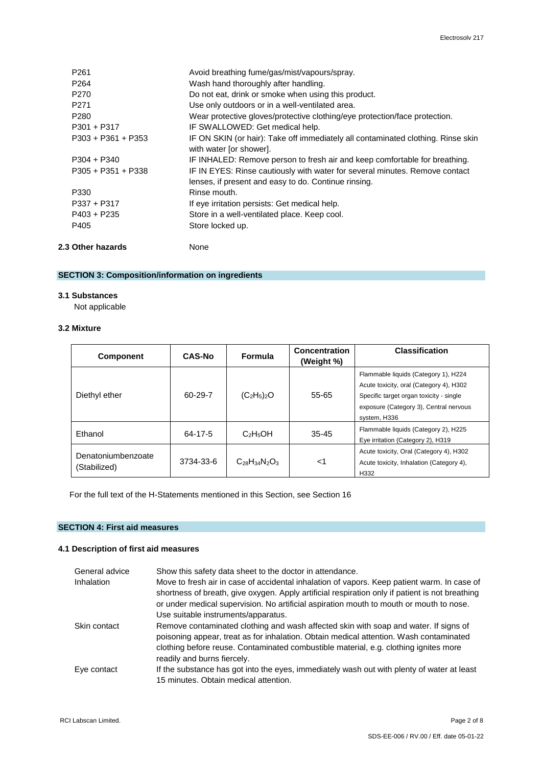| 2.3 Other hazards    | None                                                                                                        |
|----------------------|-------------------------------------------------------------------------------------------------------------|
| P405                 | Store locked up.                                                                                            |
| $P403 + P235$        | Store in a well-ventilated place. Keep cool.                                                                |
| $P337 + P317$        | If eye irritation persists: Get medical help.                                                               |
| P330                 | Rinse mouth.                                                                                                |
|                      | lenses, if present and easy to do. Continue rinsing.                                                        |
| $P305 + P351 + P338$ | IF IN EYES: Rinse cautiously with water for several minutes. Remove contact                                 |
| $P304 + P340$        | IF INHALED: Remove person to fresh air and keep comfortable for breathing.                                  |
|                      | IF ON SKIN (or hair): Take off immediately all contaminated clothing. Rinse skin<br>with water [or shower]. |
|                      |                                                                                                             |
|                      | IF SWALLOWED: Get medical help.                                                                             |
|                      | Wear protective gloves/protective clothing/eye protection/face protection.                                  |
|                      | Use only outdoors or in a well-ventilated area.                                                             |
| P <sub>270</sub>     | Do not eat, drink or smoke when using this product.                                                         |
| P <sub>264</sub>     | Wash hand thoroughly after handling.                                                                        |
| P <sub>261</sub>     | Avoid breathing fume/gas/mist/vapours/spray.                                                                |
|                      | P <sub>271</sub><br>P <sub>280</sub><br>$P301 + P317$<br>$P303 + P361 + P353$                               |

# **SECTION 3: Composition/information on ingredients**

# **3.1 Substances**

Not applicable

# **3.2 Mixture**

| <b>Component</b>                   | <b>CAS-No</b> | <b>Formula</b>       | Concentration<br>(Weight %) | <b>Classification</b>                                                                                                                                                                |
|------------------------------------|---------------|----------------------|-----------------------------|--------------------------------------------------------------------------------------------------------------------------------------------------------------------------------------|
| Diethyl ether                      | $60 - 29 - 7$ | $(C_2H_5)_2O$        | 55-65                       | Flammable liquids (Category 1), H224<br>Acute toxicity, oral (Category 4), H302<br>Specific target organ toxicity - single<br>exposure (Category 3), Central nervous<br>system, H336 |
| Ethanol                            | 64-17-5       | $C_2H_5OH$           | $35 - 45$                   | Flammable liquids (Category 2), H225<br>Eve irritation (Category 2), H319                                                                                                            |
| Denatoniumbenzoate<br>(Stabilized) | 3734-33-6     | $C_{28}H_{34}N_2O_3$ | 1>                          | Acute toxicity, Oral (Category 4), H302<br>Acute toxicity, Inhalation (Category 4),<br>H332                                                                                          |

For the full text of the H-Statements mentioned in this Section, see Section 16

# **SECTION 4: First aid measures**

# **4.1 Description of first aid measures**

| General advice    | Show this safety data sheet to the doctor in attendance.                                                                                                                                       |
|-------------------|------------------------------------------------------------------------------------------------------------------------------------------------------------------------------------------------|
| <b>Inhalation</b> | Move to fresh air in case of accidental inhalation of vapors. Keep patient warm. In case of<br>shortness of breath, give oxygen. Apply artificial respiration only if patient is not breathing |
|                   | or under medical supervision. No artificial aspiration mouth to mouth or mouth to nose.                                                                                                        |
|                   | Use suitable instruments/apparatus.                                                                                                                                                            |
| Skin contact      | Remove contaminated clothing and wash affected skin with soap and water. If signs of<br>poisoning appear, treat as for inhalation. Obtain medical attention. Wash contaminated                 |
|                   | clothing before reuse. Contaminated combustible material, e.g. clothing ignites more<br>readily and burns fiercely.                                                                            |
| Eye contact       | If the substance has got into the eyes, immediately wash out with plenty of water at least                                                                                                     |
|                   | 15 minutes. Obtain medical attention.                                                                                                                                                          |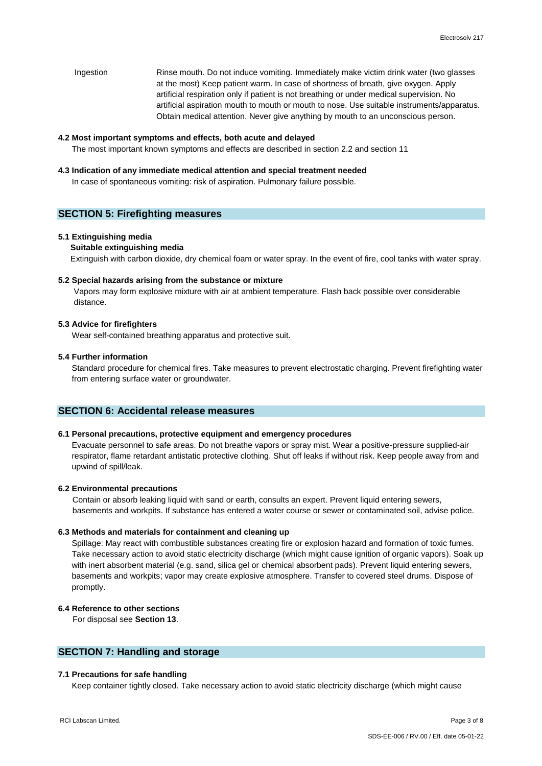Ingestion Rinse mouth. Do not induce vomiting. Immediately make victim drink water (two glasses at the most) Keep patient warm. In case of shortness of breath, give oxygen. Apply artificial respiration only if patient is not breathing or under medical supervision. No artificial aspiration mouth to mouth or mouth to nose. Use suitable instruments/apparatus. Obtain medical attention. Never give anything by mouth to an unconscious person.

#### **4.2 Most important symptoms and effects, both acute and delayed**

The most important known symptoms and effects are described in section 2.2 and section 11

#### **4.3 Indication of any immediate medical attention and special treatment needed**

In case of spontaneous vomiting: risk of aspiration. Pulmonary failure possible.

# **SECTION 5: Firefighting measures**

#### **5.1 Extinguishing media**

### **Suitable extinguishing media**

Extinguish with carbon dioxide, dry chemical foam or water spray. In the event of fire, cool tanks with water spray.

#### **5.2 Special hazards arising from the substance or mixture**

Vapors may form explosive mixture with air at ambient temperature. Flash back possible over considerable distance.

#### **5.3 Advice for firefighters**

Wear self-contained breathing apparatus and protective suit.

# **5.4 Further information**

 Standard procedure for chemical fires. Take measures to prevent electrostatic charging. Prevent firefighting water from entering surface water or groundwater.

# **SECTION 6: Accidental release measures**

#### **6.1 Personal precautions, protective equipment and emergency procedures**

Evacuate personnel to safe areas. Do not breathe vapors or spray mist. Wear a positive-pressure supplied-air respirator, flame retardant antistatic protective clothing. Shut off leaks if without risk. Keep people away from and upwind of spill/leak.

#### **6.2 Environmental precautions**

Contain or absorb leaking liquid with sand or earth, consults an expert. Prevent liquid entering sewers, basements and workpits. If substance has entered a water course or sewer or contaminated soil, advise police.

# **6.3 Methods and materials for containment and cleaning up**

Spillage: May react with combustible substances creating fire or explosion hazard and formation of toxic fumes. Take necessary action to avoid static electricity discharge (which might cause ignition of organic vapors). Soak up with inert absorbent material (e.g. sand, silica gel or chemical absorbent pads). Prevent liquid entering sewers, basements and workpits; vapor may create explosive atmosphere. Transfer to covered steel drums. Dispose of promptly.

# **6.4 Reference to other sections**

For disposal see **Section 13**.

# **SECTION 7: Handling and storage**

# **7.1 Precautions for safe handling**

Keep container tightly closed. Take necessary action to avoid static electricity discharge (which might cause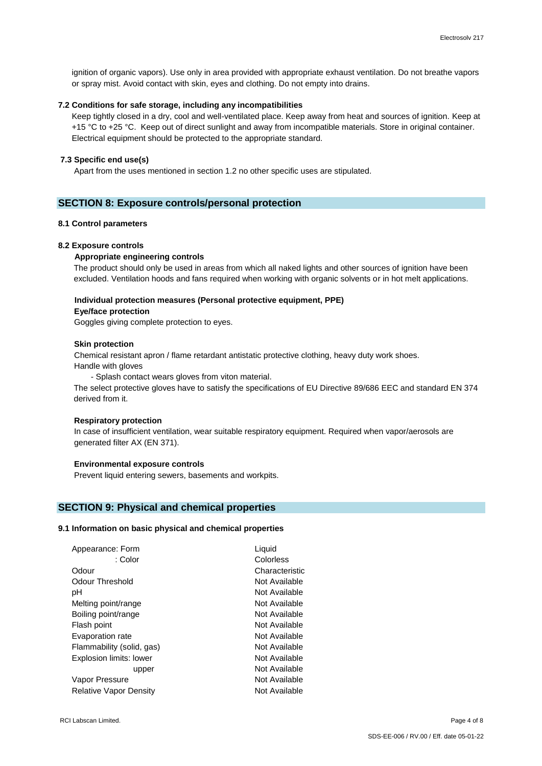ignition of organic vapors). Use only in area provided with appropriate exhaust ventilation. Do not breathe vapors or spray mist. Avoid contact with skin, eyes and clothing. Do not empty into drains.

# **7.2 Conditions for safe storage, including any incompatibilities**

Keep tightly closed in a dry, cool and well-ventilated place. Keep away from heat and sources of ignition. Keep at +15 °C to +25 °C. Keep out of direct sunlight and away from incompatible materials. Store in original container. Electrical equipment should be protected to the appropriate standard.

# **7.3 Specific end use(s)**

Apart from the uses mentioned in section 1.2 no other specific uses are stipulated.

# **SECTION 8: Exposure controls/personal protection**

#### **8.1 Control parameters**

#### **8.2 Exposure controls**

#### **Appropriate engineering controls**

The product should only be used in areas from which all naked lights and other sources of ignition have been excluded. Ventilation hoods and fans required when working with organic solvents or in hot melt applications.

# **Individual protection measures (Personal protective equipment, PPE)**

#### **Eye/face protection**

Goggles giving complete protection to eyes.

#### **Skin protection**

 Chemical resistant apron / flame retardant antistatic protective clothing, heavy duty work shoes. Handle with gloves

- Splash contact wears gloves from viton material.

The select protective gloves have to satisfy the specifications of EU Directive 89/686 EEC and standard EN 374 derived from it.

#### **Respiratory protection**

In case of insufficient ventilation, wear suitable respiratory equipment. Required when vapor/aerosols are generated filter AX (EN 371).

#### **Environmental exposure controls**

Prevent liquid entering sewers, basements and workpits.

# **SECTION 9: Physical and chemical properties**

#### **9.1 Information on basic physical and chemical properties**

| Appearance: Form              | Liquid         |
|-------------------------------|----------------|
| : Color                       | Colorless      |
| Odour                         | Characteristic |
| Odour Threshold               | Not Available  |
| рH                            | Not Available  |
| Melting point/range           | Not Available  |
| Boiling point/range           | Not Available  |
| Flash point                   | Not Available  |
| Evaporation rate              | Not Available  |
| Flammability (solid, gas)     | Not Available  |
| Explosion limits: lower       | Not Available  |
| upper                         | Not Available  |
| Vapor Pressure                | Not Available  |
| <b>Relative Vapor Density</b> | Not Available  |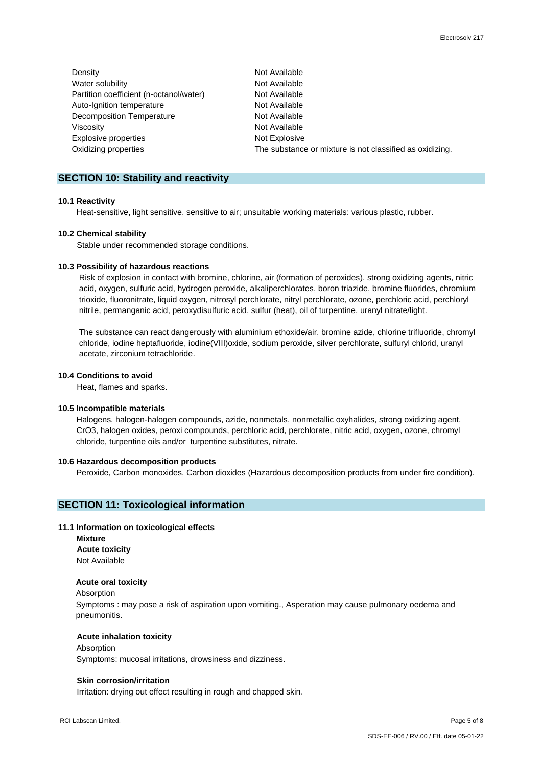| Density                                 | Not Available                                            |
|-----------------------------------------|----------------------------------------------------------|
| Water solubility                        | Not Available                                            |
| Partition coefficient (n-octanol/water) | Not Available                                            |
| Auto-Ignition temperature               | Not Available                                            |
| Decomposition Temperature               | Not Available                                            |
| Viscosity                               | Not Available                                            |
| Explosive properties                    | Not Explosive                                            |
| Oxidizing properties                    | The substance or mixture is not classified as oxidizing. |

# **SECTION 10: Stability and reactivity**

#### **10.1 Reactivity**

Heat-sensitive, light sensitive, sensitive to air; unsuitable working materials: various plastic, rubber.

#### **10.2 Chemical stability**

Stable under recommended storage conditions.

#### **10.3 Possibility of hazardous reactions**

 Risk of explosion in contact with bromine, chlorine, air (formation of peroxides), strong oxidizing agents, nitric acid, oxygen, sulfuric acid, hydrogen peroxide, alkaliperchlorates, boron triazide, bromine fluorides, chromium trioxide, fluoronitrate, liquid oxygen, nitrosyl perchlorate, nitryl perchlorate, ozone, perchloric acid, perchloryl nitrile, permanganic acid, peroxydisulfuric acid, sulfur (heat), oil of turpentine, uranyl nitrate/light.

 The substance can react dangerously with aluminium ethoxide/air, bromine azide, chlorine trifluoride, chromyl chloride, iodine heptafluoride, iodine(VIII)oxide, sodium peroxide, silver perchlorate, sulfuryl chlorid, uranyl acetate, zirconium tetrachloride.

# **10.4 Conditions to avoid**

Heat, flames and sparks.

#### **10.5 Incompatible materials**

 Halogens, halogen-halogen compounds, azide, nonmetals, nonmetallic oxyhalides, strong oxidizing agent, CrO3, halogen oxides, peroxi compounds, perchloric acid, perchlorate, nitric acid, oxygen, ozone, chromyl chloride, turpentine oils and/or turpentine substitutes, nitrate.

#### **10.6 Hazardous decomposition products**

Peroxide, Carbon monoxides, Carbon dioxides (Hazardous decomposition products from under fire condition).

# **SECTION 11: Toxicological information**

#### **11.1 Information on toxicological effects**

 **Mixture Acute toxicity** Not Available

# **Acute oral toxicity**

Absorption

Symptoms : may pose a risk of aspiration upon vomiting., Asperation may cause pulmonary oedema and pneumonitis.

#### **Acute inhalation toxicity**

#### **Absorption**

Symptoms: mucosal irritations, drowsiness and dizziness.

#### **Skin corrosion/irritation**

Irritation: drying out effect resulting in rough and chapped skin.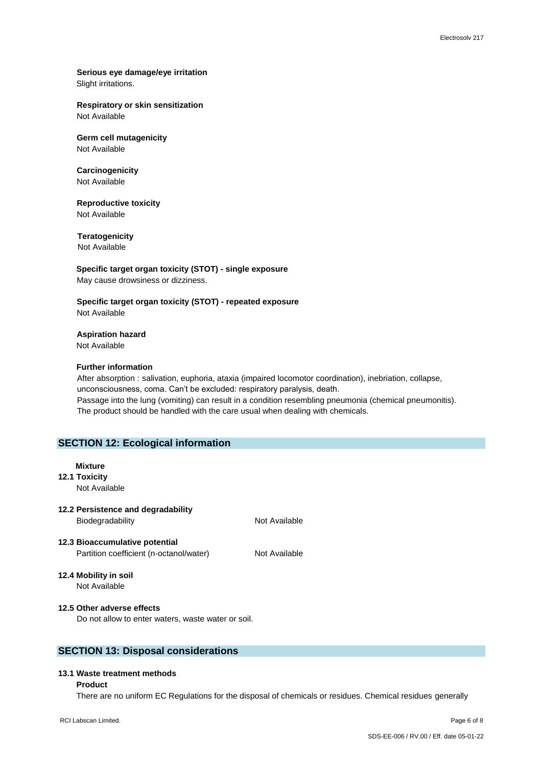# **Serious eye damage/eye irritation** Slight irritations.

### **Respiratory or skin sensitization** Not Available

# **Germ cell mutagenicity**

Not Available

#### **Carcinogenicity** Not Available

# **Reproductive toxicity** Not Available

**Teratogenicity**

Not Available

# **Specific target organ toxicity (STOT) - single exposure** May cause drowsiness or dizziness.

# **Specific target organ toxicity (STOT) - repeated exposure** Not Available

**Aspiration hazard** Not Available

# **Further information**

After absorption : salivation, euphoria, ataxia (impaired locomotor coordination), inebriation, collapse, unconsciousness, coma. Can't be excluded: respiratory paralysis, death. Passage into the lung (vomiting) can result in a condition resembling pneumonia (chemical pneumonitis). The product should be handled with the care usual when dealing with chemicals.

# **SECTION 12: Ecological information**

# **Mixture**

**12.1 Toxicity** Not Available

# **12.2 Persistence and degradability**

Biodegradability Not Available

**12.3 Bioaccumulative potential** Partition coefficient (n-octanol/water) Not Available

# **12.4 Mobility in soil**

Not Available

# **12.5 Other adverse effects**

Do not allow to enter waters, waste water or soil.

# **SECTION 13: Disposal considerations**

# **13.1 Waste treatment methods**

#### **Product**

There are no uniform EC Regulations for the disposal of chemicals or residues. Chemical residues generally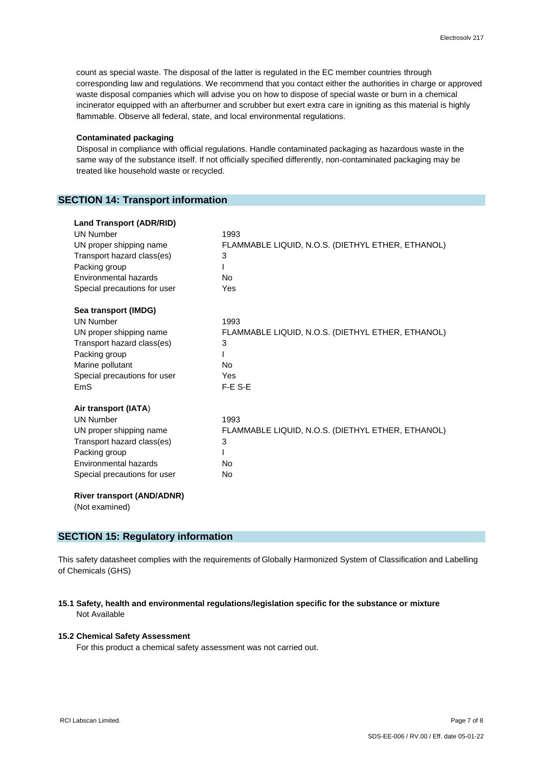count as special waste. The disposal of the latter is regulated in the EC member countries through corresponding law and regulations. We recommend that you contact either the authorities in charge or approved waste disposal companies which will advise you on how to dispose of special waste or burn in a chemical incinerator equipped with an afterburner and scrubber but exert extra care in igniting as this material is highly flammable. Observe all federal, state, and local environmental regulations.

#### **Contaminated packaging**

 Disposal in compliance with official regulations. Handle contaminated packaging as hazardous waste in the same way of the substance itself. If not officially specified differently, non-contaminated packaging may be treated like household waste or recycled.

# **SECTION 14: Transport information**

| <b>Land Transport (ADR/RID)</b> |                                                   |
|---------------------------------|---------------------------------------------------|
| <b>UN Number</b>                | 1993                                              |
| UN proper shipping name         | FLAMMABLE LIQUID, N.O.S. (DIETHYL ETHER, ETHANOL) |
| Transport hazard class(es)      | 3                                                 |
| Packing group                   |                                                   |
| Environmental hazards           | <b>No</b>                                         |
| Special precautions for user    | Yes                                               |
| Sea transport (IMDG)            |                                                   |
| <b>UN Number</b>                | 1993                                              |
| UN proper shipping name         | FLAMMABLE LIQUID, N.O.S. (DIETHYL ETHER, ETHANOL) |
| Transport hazard class(es)      | 3                                                 |
| Packing group                   |                                                   |
| Marine pollutant                | <b>No</b>                                         |
| Special precautions for user    | Yes                                               |
| EmS                             | F-E S-E                                           |
| Air transport (IATA)            |                                                   |
| <b>UN Number</b>                | 1993                                              |
| UN proper shipping name         | FLAMMABLE LIQUID, N.O.S. (DIETHYL ETHER, ETHANOL) |
| Transport hazard class(es)      | 3                                                 |
| Packing group                   |                                                   |
| Environmental hazards           | <b>No</b>                                         |
| Special precautions for user    | <b>No</b>                                         |

(Not examined)

# **SECTION 15: Regulatory information**

This safety datasheet complies with the requirements of Globally Harmonized System of Classification and Labelling of Chemicals (GHS)

# **15.1 Safety, health and environmental regulations/legislation specific for the substance or mixture** Not Available

# **15.2 Chemical Safety Assessment**

For this product a chemical safety assessment was not carried out.